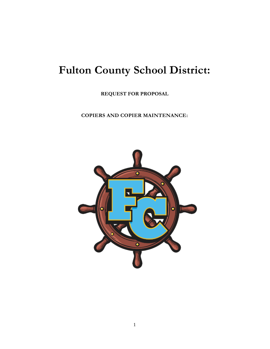# **Fulton County School District:**

**REQUEST FOR PROPOSAL**

**COPIERS AND COPIER MAINTENANCE:**

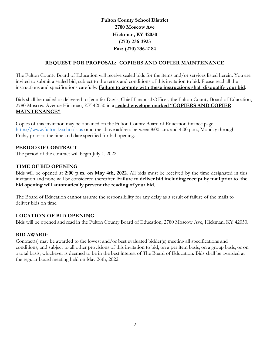**Fulton County School District 2780 Moscow Ave Hickman, KY 42050 (270)-236-3923 Fax: (270) 236-2184**

# **REQUEST FOR PROPOSAL: COPIERS AND COPIER MAINTENANCE**

The Fulton County Board of Education will receive sealed bids for the items and/or services listed herein. You are invited to submit a sealed bid, subject to the terms and conditions of this invitation to bid. Please read all the instructions and specifications carefully. **Failure to comply with these instructions shall disqualify your bid**.

Bids shall be mailed or delivered to Jennifer Davis, Chief Financial Officer, the Fulton County Board of Education, 2780 Moscow Avenue Hickman, KY 42050 in a **sealed envelope marked "COPIERS AND COPIER MAINTENANCE"**.

Copies of this invitation may be obtained on the Fulton County Board of Education finance page [https://www.fulton.kyschools.us](https://www.fulton.kyschools.us/) or at the above address between 8:00 a.m. and 4:00 p.m., Monday through Friday prior to the time and date specified for bid opening.

# **PERIOD OF CONTRACT**

The period of the contract will begin July 1, 2022

# **TIME OF BID OPENING**

Bids will be opened at **2:00 p.m. on May 4th, 2022**. All bids must be received by the time designated in this invitation and none will be considered thereafter. **Failure to deliver bid including receipt by mail prior to the bid opening will automatically prevent the reading of your bid**.

The Board of Education cannot assume the responsibility for any delay as a result of failure of the mails to deliver bids on time.

# **LOCATION OF BID OPENING**

Bids will be opened and read in the Fulton County Board of Education, 2780 Moscow Ave, Hickman, KY 42050.

# **BID AWARD:**

Contract(s) may be awarded to the lowest and/or best evaluated bidder(s) meeting all specifications and conditions, and subject to all other provisions of this invitation to bid, on a per item basis, on a group basis, or on a total basis, whichever is deemed to be in the best interest of The Board of Education. Bids shall be awarded at the regular board meeting held on May 26th, 2022.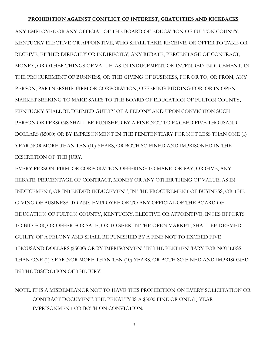#### **PROHIBITION AGAINST CONFLICT OF INTEREST, GRATUITIES AND KICKBACKS**

ANY EMPLOYEE OR ANY OFFICIAL OF THE BOARD OF EDUCATION OF FULTON COUNTY, KENTUCKY ELECTIVE OR APPOINTIVE, WHO SHALL TAKE, RECEIVE, OR OFFER TO TAKE OR RECEIVE, EITHER DIRECTLY OR INDIRECTLY, ANY REBATE, PERCENTAGE OF CONTRACT, MONEY, OR OTHER THINGS OF VALUE, AS IN INDUCEMENT OR INTENDED INDUCEMENT, IN THE PROCUREMENT OF BUSINESS, OR THE GIVING OF BUSINESS, FOR OR TO, OR FROM, ANY PERSON, PARTNERSHIP, FIRM OR CORPORATION, OFFERING BIDDING FOR, OR IN OPEN MARKET SEEKING TO MAKE SALES TO THE BOARD OF EDUCATION OF FULTON COUNTY, KENTUCKY SHALL BE DEEMED GUILTY OF A FELONY AND UPON CONVICTION SUCH PERSON OR PERSONS SHALL BE PUNISHED BY A FINE NOT TO EXCEED FIVE THOUSAND DOLLARS (\$5000) OR BY IMPRISONMENT IN THE PENITENTIARY FOR NOT LESS THAN ONE (1) YEAR NOR MORE THAN TEN (10) YEARS, OR BOTH SO FINED AND IMPRISONED IN THE DISCRETION OF THE JURY.

EVERY PERSON, FIRM, OR CORPORATION OFFERING TO MAKE, OR PAY, OR GIVE, ANY REBATE, PERCENTAGE OF CONTRACT, MONEY OR ANY OTHER THING OF VALUE, AS IN INDUCEMENT, OR INTENDED INDUCEMENT, IN THE PROCUREMENT OF BUSINESS, OR THE GIVING OF BUSINESS, TO ANY EMPLOYEE OR TO ANY OFFICIAL OF THE BOARD OF EDUCATION OF FULTON COUNTY, KENTUCKY, ELECTIVE OR APPOINTIVE, IN HIS EFFORTS TO BID FOR, OR OFFER FOR SALE, OR TO SEEK IN THE OPEN MARKET, SHALL BE DEEMED GUILTY OF A FELONY AND SHALL BE PUNISHED BY A FINE NOT TO EXCEED FIVE THOUSAND DOLLARS (\$5000) OR BY IMPRISONMENT IN THE PENITENTIARY FOR NOT LESS THAN ONE (1) YEAR NOR MORE THAN TEN (10) YEARS, OR BOTH SO FINED AND IMPRISONED IN THE DISCRETION OF THE JURY.

NOTE: IT IS A MISDEMEANOR NOT TO HAVE THIS PROHIBITION ON EVERY SOLICITATION OR CONTRACT DOCUMENT. THE PENALTY IS A \$5000 FINE OR ONE (1) YEAR IMPRISONMENT OR BOTH ON CONVICTION.

3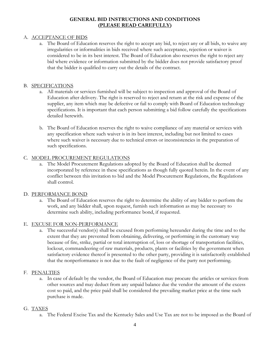# **GENERAL BID INSTRUCTIONS AND CONDITIONS (PLEASE READ CAREFULLY)**

### A. ACCEPTANCE OF BIDS

a. The Board of Education reserves the right to accept any bid, to reject any or all bids, to waive any irregularities or informalities in bids received where such acceptance, rejection or waiver is considered to be in its best interest. The Board of Education also reserves the right to reject any bid where evidence or information submitted by the bidder does not provide satisfactory proof that the bidder is qualified to carry out the details of the contract.

#### B. SPECIFICATIONS

- a. All materials or services furnished will be subject to inspection and approval of the Board of Education after delivery. The right is reserved to reject and return at the risk and expense of the supplier, any item which may be defective or fail to comply with Board of Education technology specifications. It is important that each person submitting a bid follow carefully the specifications detailed herewith.
- b. The Board of Education reserves the right to waive compliance of any material or services with any specification where such waiver is in its best interest, including but not limited to cases where such waiver is necessary due to technical errors or inconsistencies in the preparation of such specifications.

#### C. MODEL PROCUREMENT REGULATIONS

a. The Model Procurement Regulations adopted by the Board of Education shall be deemed incorporated by reference in these specifications as though fully quoted herein. In the event of any conflict between this invitation to bid and the Model Procurement Regulations, the Regulations shall control.

#### D. PERFORMANCE BOND

a. The Board of Education reserves the right to determine the ability of any bidder to perform the work, and any bidder shall, upon request, furnish such information as may be necessary to determine such ability, including performance bond, if requested.

#### E. EXCUSE FOR NON-PERFORMANCE

a. The successful vendor(s) shall be excused from performing hereunder during the time and to the extent that they are prevented from obtaining, delivering, or performing in the customary way because of fire, strike, partial or total interruption of, loss or shortage of transportation facilities, lockout, commandeering of raw materials, products, plants or facilities by the government when satisfactory evidence thereof is presented to the other party, providing it is satisfactorily established that the nonperformance is not due to the fault of negligence of the party not performing.

#### F. PENALTIES

a. In case of default by the vendor, the Board of Education may procure the articles or services from other sources and may deduct from any unpaid balance due the vendor the amount of the excess cost so paid, and the price paid shall be considered the prevailing market price at the time such purchase is made.

#### G. TAXES

a. The Federal Excise Tax and the Kentucky Sales and Use Tax are not to be imposed as the Board of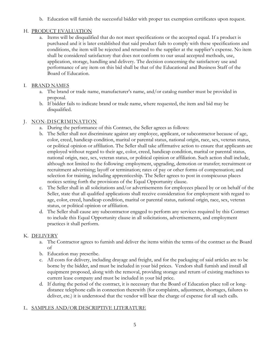b. Education will furnish the successful bidder with proper tax exemption certificates upon request.

# H. PRODUCT EVALUATION

a. Items will be disqualified that do not meet specifications or the accepted equal. If a product is purchased and it is later established that said product fails to comply with these specifications and conditions, the item will be rejected and returned to the supplier at the supplier's expense. No item shall be considered satisfactory that does not conform to our usual accepted methods, use, application, storage, handling and delivery. The decision concerning the satisfactory use and performance of any item on this bid shall be that of the Educational and Business Staff of the Board of Education.

# I. BRAND NAMES

- a. The brand or trade name, manufacturer's name, and/or catalog number must be provided in proposal.
- b. If bidder fails to indicate brand or trade name, where requested, the item and bid may be disqualified.

# J. NON-DISCRIMINATION

- a. During the performance of this Contract, the Seller agrees as follows:
- b. The Seller shall not discriminate against any employee, applicant, or subcontractor because of age, color, creed, handicap condition, marital or parental status, national origin, race, sex, veteran status, or political opinion or affiliation. The Seller shall take affirmative action to ensure that applicants are employed without regard to their age, color, creed, handicap condition, marital or parental status, national origin, race, sex, veteran status, or political opinion or affiliation. Such action shall include, although not limited to the following: employment, upgrading, demotion or transfer; recruitment or recruitment advertising; layoff or termination; rates of pay or other forms of compensation; and selection for training, including apprenticeship. The Seller agrees to post in conspicuous places notices setting forth the provisions of the Equal Opportunity clause.
- c. The Seller shall in all solicitations and/or advertisements for employees placed by or on behalf of the Seller, state that all qualified applications shall receive consideration for employment with regard to age, color, creed, handicap condition, marital or parental status, national origin, race, sex, veteran status, or political opinion or affiliation.
- d. The Seller shall cause any subcontractor engaged to perform any services required by this Contract to include this Equal Opportunity clause in all solicitations, advertisements, and employment practices it shall perform.

# K. DELIVERY

- a. The Contractor agrees to furnish and deliver the items within the terms of the contract as the Board of
- b. Education may prescribe.
- c. All costs for delivery, including drayage and freight, and for the packaging of said articles are to be borne by the bidder, and must be included in your bid prices. Vendors shall furnish and install all equipment proposed, along with the removal, providing storage and return of existing machines to current lease company and must be included in your bid price.
- d. If during the period of the contract, it is necessary that the Board of Education place toll or longdistance telephone calls in connection therewith (for complaints, adjustment, shortages, failures to deliver, etc.) it is understood that the vendor will bear the charge of expense for all such calls.

# L. SAMPLES AND/OR DESCRIPTIVE LITERATURE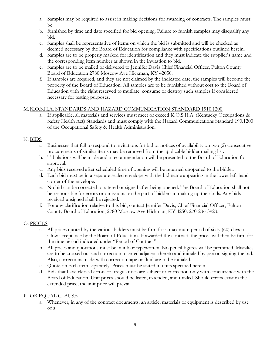- a. Samples may be required to assist in making decisions for awarding of contracts. The samples must be
- b. furnished by time and date specified for bid opening. Failure to furnish samples may disqualify any bid.
- c. Samples shall be representative of items on which the bid is submitted and will be checked as deemed necessary by the Board of Education for compliance with specifications outlined herein.
- d. Samples are to be properly marked for identification and they must indicate the supplier's name and the corresponding item number as shown in the invitation to bid.
- e. Samples are to be mailed or delivered to Jennifer Davis Chief Financial Officer, Fulton County Board of Education 2780 Moscow Ave Hickman, KY 42050.
- f. If samples are required, and they are not claimed by the indicated date, the samples will become the property of the Board of Education. All samples are to be furnished without cost to the Board of Education with the right reserved to mutilate, consume or destroy such samples if considered necessary for testing purposes.

# M. K.O.S.H.A. STANDARDS AND HAZARD COMMUNICATION STANDARD 1910.1200

a. If applicable, all materials and services must meet or exceed K.O.S.H.A. (Kentucky Occupations & Safety Health Act) Standards and must comply with the Hazard Communications Standard 190.1200 of the Occupational Safety & Health Administration.

# N. BIDS

- a. Businesses that fail to respond to invitations for bid or notices of availability on two (2) consecutive procurements of similar items may be removed from the applicable bidder mailing list.
- b. Tabulations will be made and a recommendation will be presented to the Board of Education for approval.
- c. Any bids received after scheduled time of opening will be returned unopened to the bidder.
- d. Each bid must be in a separate sealed envelope with the bid name appearing in the lower left-hand corner of the envelope.
- e. No bid can be corrected or altered or signed after being opened. The Board of Education shall not be responsible for errors or omissions on the part of bidders in making up their bids. Any bids received unsigned shall be rejected.
- f. For any clarification relative to this bid, contact Jennifer Davis, Chief Financial Officer, Fulton County Board of Education, 2780 Moscow Ave Hickman, KY 4250; 270-236-3923.

# O. PRICES

- a. All prices quoted by the various bidders must be firm for a maximum period of sixty (60) days to allow acceptance by the Board of Education. If awarded the contract, the prices will then be firm for the time period indicated under "Period of Contract".
- b. All prices and quotations must be in ink or typewritten. No pencil figures will be permitted. Mistakes are to be crossed out and correction inserted adjacent thereto and initialed by person signing the bid. Also, corrections made with correction tape or fluid are to be initialed.
- c. Quote on each item separately. Prices must be stated in units specified herein.
- d. Bids that have clerical errors or irregularities are subject to correction only with concurrence with the Board of Education. Unit prices should be listed, extended, and totaled. Should errors exist in the extended price, the unit price will prevail.

# P. OR EQUAL CLAUSE

a. Whenever, in any of the contract documents, an article, materials or equipment is described by use of a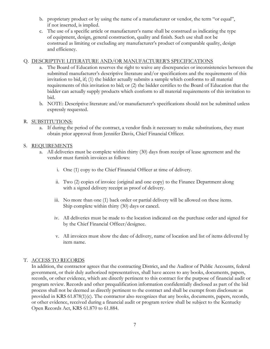- b. proprietary product or by using the name of a manufacturer or vendor, the term "or equal", if not inserted, is implied.
- c. The use of a specific article or manufacturer's name shall be construed as indicating the type of equipment, design, general construction, quality and finish. Such use shall not be construed as limiting or excluding any manufacturer's product of comparable quality, design and efficiency.

#### Q. DESCRIPTIVE LITERATURE AND/OR MANUFACTURER'S SPECIFICATIONS

- a. The Board of Education reserves the right to waive any discrepancies or inconsistencies between the submitted manufacturer's descriptive literature and/or specifications and the requirements of this invitation to bid, if; (1) the bidder actually submits a sample which conforms to all material requirements of this invitation to bid; or (2) the bidder certifies to the Board of Education that the bidder can actually supply products which conform to all material requirements of this invitation to bid.
- b. NOTE: Descriptive literature and/or manufacturer's specifications should not be submitted unless expressly requested.

#### R. SUBSTITUTIONS:

a. If during the period of the contract, a vendor finds it necessary to make substitutions, they must obtain prior approval from Jennifer Davis, Chief Financial Officer.

#### S. REQUIREMENTS

- a. All deliveries must be complete within thirty (30) days from receipt of lease agreement and the vendor must furnish invoices as follows:
	- i. One (1) copy to the Chief Financial Officer at time of delivery.
	- ii. Two (2) copies of invoice (original and one copy) to the Finance Department along with a signed delivery receipt as proof of delivery.
	- iii. No more than one (1) back order or partial delivery will be allowed on these items. Ship complete within thirty (30) days or cancel.
	- iv. All deliveries must be made to the location indicated on the purchase order and signed for by the Chief Financial Officer/designee.
	- v. All invoices must show the date of delivery, name of location and list of items delivered by item name.

#### T. ACCESS TO RECORDS

In addition, the contractor agrees that the contracting District, and the Auditor of Public Accounts, federal government, or their duly authorized representatives, shall have access to any books, documents, papers, records, or other evidence, which are directly pertinent to this contract for the purpose of financial audit or program review. Records and other prequalification information confidentially disclosed as part of the bid process shall not be deemed as directly pertinent to the contract and shall be exempt from disclosure as provided in KRS 61.878(1)(c). The contractor also recognizes that any books, documents, papers, records, or other evidence, received during a financial audit or program review shall be subject to the Kentucky Open Records Act, KRS 61.870 to 61.884.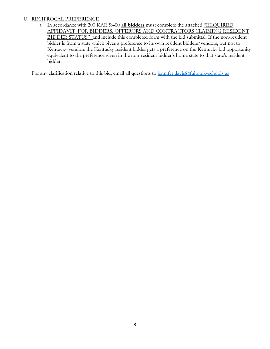# U. RECIPROCAL PREFERENCE

a. In accordance with 200 KAR 5:400 **all bidders** must complete the attached "REQUIRED AFFIDAVIT FOR BIDDERS, OFFERORS AND CONTRACTORS CLAIMING RESIDENT BIDDER STATUS" and include this completed form with the bid submittal. If the non-resident bidder is from a state which gives a preference to its own resident bidders/vendors, but not to Kentucky vendors the Kentucky resident bidder gets a preference on the Kentucky bid opportunity equivalent to the preference given in the non-resident bidder's home state to that state's resident bidder.

For any clarification relative to this bid, email all questions to jennifer.davis@fulton.kyschools.us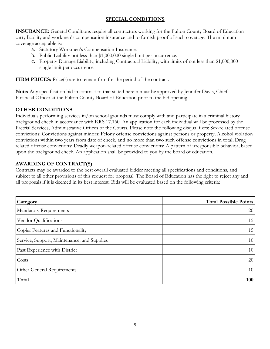# **SPECIAL CONDITIONS**

**INSURANCE:** General Conditions require all contractors working for the Fulton County Board of Education carry liability and workmen's compensation insurance and to furnish proof of such coverage. The minimum coverage acceptable is:

- a. Statutory Workmen's Compensation Insurance.
- b. Public Liability not less than \$1,000,000 single limit per occurrence.
- c. Property Damage Liability, including Contractual Liability, with limits of not less than \$1,000,000 single limit per occurrence.

**FIRM PRICES:** Price(s) are to remain firm for the period of the contract.

**Note:** Any specification bid in contrast to that stated herein must be approved by Jennifer Davis, Chief Financial Officer at the Fulton County Board of Education prior to the bid opening.

# **OTHER CONDITIONS**

Individuals performing services in/on school grounds must comply with and participate in a criminal history background check in accordance with KRS 17.160. An application for each individual will be processed by the Pretrial Services, Administrative Offices of the Courts. Please note the following disqualifiers: Sex-related offense convictions; Convictions against minors; Felony offense convictions against persons or property; Alcohol violation convictions within two years from date of check, and no more than two such offense convictions in total; Drug related offense convictions; Deadly weapon-related offense convictions; A pattern of irresponsible behavior, based upon the background check. An application shall be provided to you by the board of education.

# **AWARDING OF CONTRACT(S)**

Contracts may be awarded to the best overall evaluated bidder meeting all specifications and conditions, and subject to all other provisions of this request for proposal. The Board of Education has the right to reject any and all proposals if it is deemed in its best interest. Bids will be evaluated based on the following criteria:

| Category                                    | <b>Total Possible Points</b> |
|---------------------------------------------|------------------------------|
| Mandatory Requirements                      | 20                           |
| Vendor Qualifications                       | 15                           |
| Copier Features and Functionality           | 15                           |
| Service, Support, Maintenance, and Supplies | 10                           |
| Past Experience with District               | 10                           |
| Costs                                       | 20                           |
| Other General Requirements                  | 10                           |
| Total                                       | 100                          |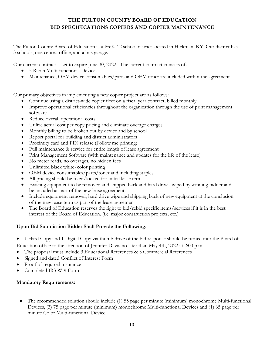# **THE FULTON COUNTY BOARD OF EDUCATION BID SPECIFICATIONS COPIERS AND COPIER MAINTENANCE**

The Fulton County Board of Education is a PreK-12 school district located in Hickman, KY. Our district has 3 schools, one central office, and a bus garage.

Our current contract is set to expire June 30, 2022. The current contract consists of…

- 5 Ricoh Multi-functional Devices
- Maintenance, OEM device consumables/parts and OEM toner are included within the agreement.

Our primary objectives in implementing a new copier project are as follows:

- Continue using a district-wide copier fleet on a fiscal year contract, billed monthly
- Improve operational efficiencies throughout the organization through the use of print management software
- Reduce overall operational costs
- Utilize actual cost per copy pricing and eliminate overage charges
- Monthly billing to be broken out by device and by school
- Report portal for building and district administrators
- Proximity card and PIN release (Follow me printing)
- Full maintenance & service for entire length of lease agreement
- Print Management Software (with maintenance and updates for the life of the lease)
- No meter reads, no overages, no hidden fees
- Unlimited black white/color printing
- OEM device consumables/parts/toner and including staples
- All pricing should be fixed/locked for initial lease term
- Existing equipment to be removed and shipped back and hard drives wiped by winning bidder and be included as part of the new lease agreement.
- Include equipment removal, hard drive wipe and shipping back of new equipment at the conclusion of the new lease term as part of the lease agreement
- The Board of Education reserves the right to bid/rebid specific items/services if it is in the best interest of the Board of Education. (i.e. major construction projects, etc.)

# **Upon Bid Submission Bidder Shall Provide the Following:**

- 1 Hard Copy and 1 Digital Copy via thumb drive of the bid response should be turned into the Board of
- Education office to the attention of Jennifer Davis no later than May 4th, 2022 at 2:00 p.m.
- The proposal must include 3 Educational References & 3 Commercial References
- Signed and dated Conflict of Interest Form
- Proof of required insurance
- Completed IRS W-9 Form

# **Mandatory Requirements:**

 The recommended solution should include (1) 55 page per minute (minimum) monochrome Multi-functional Devices, (3) 75 page per minute (minimum) monochrome Multi-functional Devices and (1) 65 page per minute Color Multi-functional Device.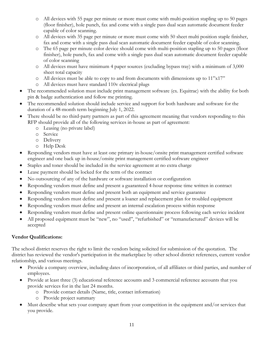- o All devices with 55 page per minute or more must come with multi-position stapling up to 50 pages (floor finisher), hole punch, fax and come with a single pass dual scan automatic document feeder capable of color scanning.
- o All devices with 35 page per minute or more must come with 50 sheet multi position staple finisher, fax and come with a single pass dual scan automatic document feeder capable of color scanning.
- o The 65 page per minute color device should come with multi-position stapling up to 50 pages (floor finisher), hole punch, fax and come with a single pass dual scan automatic document feeder capable of color scanning
- o All devices must have minimum 4 paper sources (excluding bypass tray) with a minimum of 3,000 sheet total capacity
- o All devices must be able to copy to and from documents with dimensions up to 11"x17"
- o All devices must have standard 110v electrical plugs
- The recommended solution must include print management software (ex. Equitrac) with the ability for both pin & badge authentication and follow me printing.
- The recommended solution should include service and support for both hardware and software for the duration of a 48-month term beginning July 1, 2022.
- There should be no third-party partners as part of this agreement meaning that vendors responding to this RFP should provide all of the following services in-house as part of agreement:
	- o Leasing (no private label)
	- o Service
	- o Delivery
	- o Help Desk
- Responding vendors must have at least one primary in-house/onsite print management certified software engineer and one back up in-house/onsite print management certified software engineer
- Staples and toner should be included in the service agreement at no extra charge
- Lease payment should be locked for the term of the contract
- No outsourcing of any of the hardware or software installation or configuration
- Responding vendors must define and present a guaranteed 4-hour response time written in contract
- Responding vendors must define and present both an equipment and service guarantee
- Responding vendors must define and present a loaner and replacement plan for troubled equipment
- Responding vendors must define and present an internal escalation process within response
- Responding vendors must define and present online questionnaire process following each service incident
- All proposed equipment must be "new", no "used", "refurbished" or "remanufactured" devices will be accepted

# **Vendor Qualifications:**

The school district reserves the right to limit the vendors being solicited for submission of the quotation. The district has reviewed the vendor's participation in the marketplace by other school district references, current vendor relationship, and various meetings.

- Provide a company overview, including dates of incorporation, of all affiliates or third parties, and number of employees.
- Provide at least three (3) educational reference accounts and 3 commercial reference accounts that you provide services for in the last 24 months.
	- o Provide contact details (Name, title, contact information)
	- o Provide project summary
- Must describe what sets your company apart from your competition in the equipment and/or services that you provide.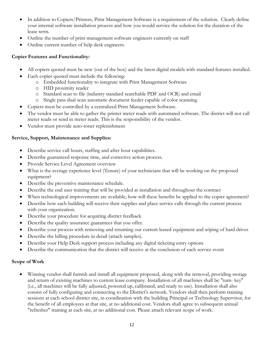- In addition to Copiers/Printers, Print Management Software is a requirement of the solution. Clearly define your internal software installation process and how you would service the solution for the duration of the lease term.
- Outline the number of print management software engineers currently on staff
- Outline current number of help desk engineers.

# **Copier Features and Functionality:**

- All copiers quoted must be new (out of the box) and the latest digital models with standard features installed.
- Each copier quoted must include the following:
	- o Embedded functionality to integrate with Print Management Software
	- o HID proximity reader
	- o Standard scan to file (industry standard searchable PDF and OCR) and email
	- o Single pass dual scan automatic document feeder capable of color scanning
- Copiers must be controlled by a centralized Print Management Software.
- The vendor must be able to gather the printer meter reads with automated software. The district will not call meter reads or send in meter reads. This is the responsibility of the vendor.
- Vendor must provide auto-toner replenishment

# **Service, Support, Maintenance and Supplies:**

- Describe service call hours, staffing and after hour capabilities.
- Describe guaranteed response time, and corrective action process.
- Provide Service Level Agreement overview
- What is the average experience level (Tenure) of your technicians that will be working on the proposed equipment?
- Describe the preventive maintenance schedule.
- Describe the end user training that will be provided at installation and throughout the contract
- When technological improvements are available, how will these benefits be applied to the copier agreement?
- Describe how each building will receive their supplies and place service calls through the current process with your organization.
- Describe your procedure for acquiring district feedback
- Describe the quality assurance guarantees that you offer.
- Describe your process with removing and returning our current leased equipment and wiping of hard drives
- Describe the billing procedure in detail (attach samples).
- Describe your Help Desk support process including any digital ticketing entry options
- Describe the communication that the district will receive at the conclusion of each service event

# **Scope of Work**

 Winning vendor shall furnish and install all equipment proposed, along with the removal, providing storage and return of existing machines to current lease company. Installation of all machines shall be "turn- key" (i.e., all machines will be fully adjusted, powered up, calibrated, and ready to use). Installation shall also consist of fully configuring and connecting to the District's network. Vendors shall then perform training sessions at each school district site, in coordination with the building Principal or Technology Supervisor, for the benefit of all employees at that site, at no additional cost. Vendors shall agree to subsequent annual "refresher" training at each site, at no additional cost. Please attach relevant scope of work.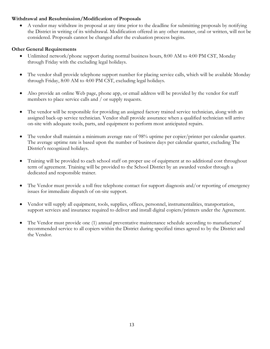#### **Withdrawal and Resubmission/Modification of Proposals**

 A vendor may withdraw its proposal at any time prior to the deadline for submitting proposals by notifying the District in writing of its withdrawal. Modification offered in any other manner, oral or written, will not be considered. Proposals cannot be changed after the evaluation process begins.

# **Other General Requirements**

- Unlimited network/phone support during normal business hours, 8:00 AM to 4:00 PM CST, Monday through Friday with the excluding legal holidays.
- The vendor shall provide telephone support number for placing service calls, which will be available Monday through Friday, 8:00 AM to 4:00 PM CST, excluding legal holidays.
- Also provide an online Web page, phone app, or email address will be provided by the vendor for staff members to place service calls and / or supply requests.
- The vendor will be responsible for providing an assigned factory trained service technician, along with an assigned back-up service technician. Vendor shall provide assurance when a qualified technician will arrive on-site with adequate tools, parts, and equipment to perform most anticipated repairs.
- The vendor shall maintain a minimum average rate of 98% uptime per copier/printer per calendar quarter. The average uptime rate is based upon the number of business days per calendar quarter, excluding The District's recognized holidays.
- Training will be provided to each school staff on proper use of equipment at no additional cost throughout term of agreement. Training will be provided to the School District by an awarded vendor through a dedicated and responsible trainer.
- The Vendor must provide a toll free telephone contact for support diagnosis and/or reporting of emergency issues for immediate dispatch of on-site support.
- Vendor will supply all equipment, tools, supplies, offices, personnel, instrumentalities, transportation, support services and insurance required to deliver and install digital copiers/printers under the Agreement.
- The Vendor must provide one (1) annual preventative maintenance schedule according to manufactures' recommended service to all copiers within the District during specified times agreed to by the District and the Vendor.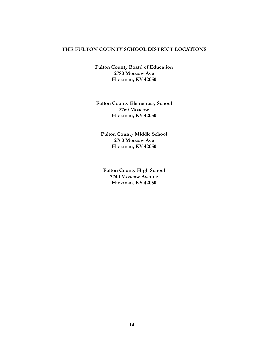#### **THE FULTON COUNTY SCHOOL DISTRICT LOCATIONS**

**Fulton County Board of Education 2780 Moscow Ave Hickman, KY 42050**

**Fulton County Elementary School 2760 Moscow Hickman, KY 42050**

**Fulton County Middle School 2760 Moscow Ave Hickman, KY 42050**

**Fulton County High School 2740 Moscow Avenue Hickman, KY 42050**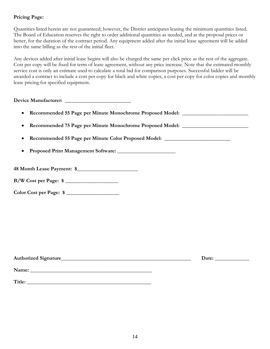# **Pricing Page:**

Quantities listed herein are not guaranteed; however, the District anticipates leasing the minimum quantities listed. The Board of Education reserves the right to order additional quantities as needed, and at the proposal prices or better, for the duration of the contract period. Any equipment added after the initial lease agreement will be added into the same billing as the rest of the initial fleet.

Any devices added after initial lease begins will also be charged the same per click price as the rest of the aggregate. Cost per copy will be fixed for term of lease agreement, without any price increase. Note that the estimated monthly service cost is only an estimate used to calculate a total bid for comparison purposes. Successful bidder will be awarded a contract to include a cost per copy for black and white copies, a cost per copy for color copies and monthly lease pricing for specified equipment.

| • Recommended 55 Page per Minute Monochrome Proposed Model: ____________________ |  |
|----------------------------------------------------------------------------------|--|
| • Recommended 75 Page per Minute Monochrome Proposed Model: ____________________ |  |
| Recommended 55 Page per Minute Color Proposed Model: ___________________________ |  |
|                                                                                  |  |
| 48 Month Lease Payment: \$<br>B/W Cost per Page: \$                              |  |
| Color Cost per Page: \$                                                          |  |

| Authorized Signature_ | Date <sup>.</sup> |
|-----------------------|-------------------|
|                       |                   |

| Title: |  |  |  |
|--------|--|--|--|

**Name: \_\_\_\_\_\_\_\_\_\_\_\_\_\_\_\_\_\_\_\_\_\_\_\_\_\_\_\_\_\_\_\_\_\_\_\_\_\_\_\_\_\_\_\_\_\_**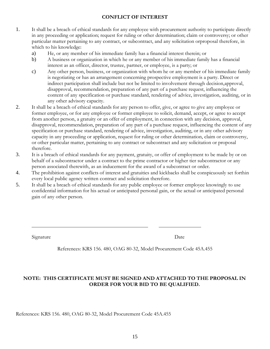# **CONFLICT OF INTEREST**

- 1. It shall be a breach of ethical standards for any employee with procurement authority to participate directly in any proceeding or application; request for ruling or other determination; claim or controversy; or other particular matter pertaining to any contract, or subcontract, and any solicitation orproposal therefore, in which to his knowledge:
	- a) He, or any member of his immediate family has a financial interest therein; or
	- b) A business or organization in which he or any member of his immediate family has a financial interest as an officer, director, trustee, partner, or employee, is a party; or
	- c) Any other person, business, or organization with whom he or any member of his immediate family is negotiating or has an arrangement concerning prospective employment is a party. Direct or indirect participation shall include but not be limited to involvement through decision,approval, disapproval, recommendation, preparation of any part of a purchase request, influencing the content of any specification or purchase standard, rendering of advice, investigation, auditing, or in any other advisory capacity.
- 2. It shall be a breach of ethical standards for any person to offer, give, or agree to give any employee or former employee, or for any employee or former employee to solicit, demand, accept, or agree to accept from another person, a gratuity or an offer of employment, in connection with any decision, approval, disapproval, recommendation, preparation of any part of a purchase request, influencing the content of any specification or purchase standard, rendering of advice, investigation, auditing, or in any other advisory capacity in any proceeding or application, request for ruling or other determination, claim or controversy, or other particular matter, pertaining to any contract or subcontract and any solicitation or proposal therefore.
- 3. It is a breach of ethical standards for any payment, gratuity, or offer of employment to be made by or on behalf of a subcontractor under a contract to the prime contractor or higher tier subcontractor or any person associated therewith, as an inducement for the award of a subcontract or order.
- 4. The prohibition against conflicts of interest and gratuities and kickbacks shall be conspicuously set forthin every local public agency written contract and solicitation therefore.
- 5. It shall be a breach of ethical standards for any public employee or former employee knowingly to use confidential information for his actual or anticipated personal gain, or the actual or anticipated personal gain of any other person.

Signature Date

References: KRS 156. 480, OAG 80-32, Model Procurement Code 45A.455

# **NOTE: THIS CERTIFICATE MUST BE SIGNED AND ATTACHED TO THE PROPOSAL IN ORDER FOR YOUR BID TO BE QUALIFIED.**

References: KRS 156. 480, OAG 80-32, Model Procurement Code 45A.455